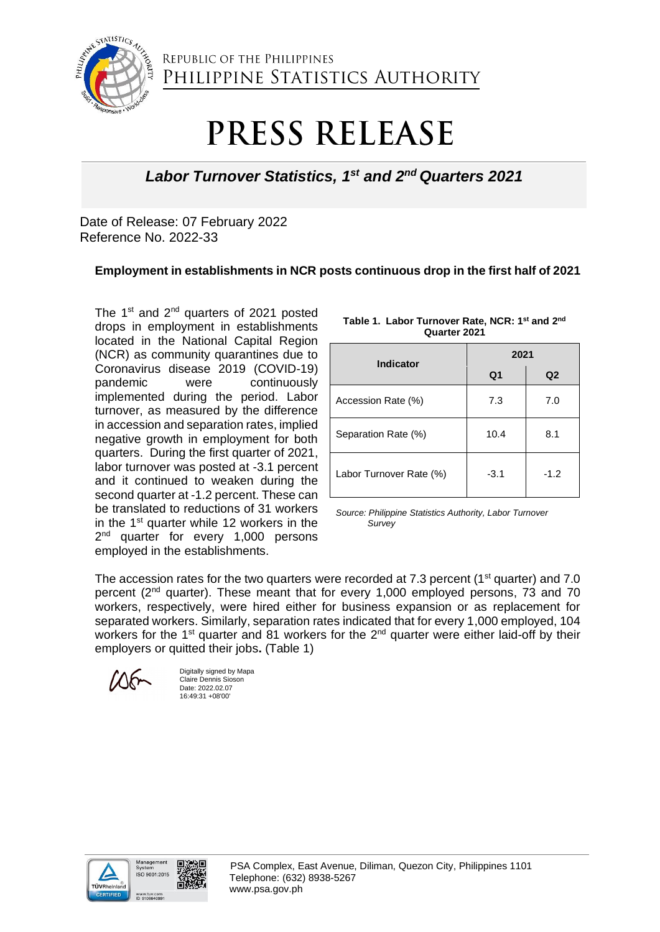

REPUBLIC OF THE PHILIPPINES PHILIPPINE STATISTICS AUTHORITY

## PRESS RELEASE

## Labor Turnover Statistics, 1<sup>st</sup> and 2<sup>nd</sup> Quarters 2021

Date of Release: 07 February 2022 Reference No. 2022-33

## **Employment in establishments in NCR posts continuous drop in the first half of 2021**

The  $1<sup>st</sup>$  and  $2<sup>nd</sup>$  quarters of 2021 posted drops in employment in establishments located in the National Capital Region (NCR) as community quarantines due to Coronavirus disease 2019 (COVID-19) pandemic were continuously implemented during the period. Labor turnover, as measured by the difference in accession and separation rates, implied negative growth in employment for both quarters. During the first quarter of 2021, labor turnover was posted at -3.1 percent and it continued to weaken during the second quarter at -1.2 percent. These can be translated to reductions of 31 workers in the  $1<sup>st</sup>$  quarter while 12 workers in the 2<sup>nd</sup> quarter for every 1,000 persons employed in the establishments.

| Indicator               | 2021   |        |
|-------------------------|--------|--------|
|                         | Q1     | Q2     |
| Accession Rate (%)      | 7.3    | 7.0    |
| Separation Rate (%)     | 10.4   | 8.1    |
| Labor Turnover Rate (%) | $-3.1$ | $-1.2$ |

**Table 1. Labor Turnover Rate, NCR: 1st and 2nd Quarter 2021**

*Source: Philippine Statistics Authority, Labor Turnover Survey*

The accession rates for the two quarters were recorded at 7.3 percent ( $1<sup>st</sup>$  quarter) and 7.0 percent (2nd quarter). These meant that for every 1,000 employed persons, 73 and 70 workers, respectively, were hired either for business expansion or as replacement for separated workers. Similarly, separation rates indicated that for every 1,000 employed, 104 workers for the 1<sup>st</sup> quarter and 81 workers for the 2<sup>nd</sup> quarter were either laid-off by their employers or quitted their jobs**.** (Table 1)

Digitally signed by Mapa Claire Dennis Sioson Date: 2022.02.07 16:49:31 +08'00'